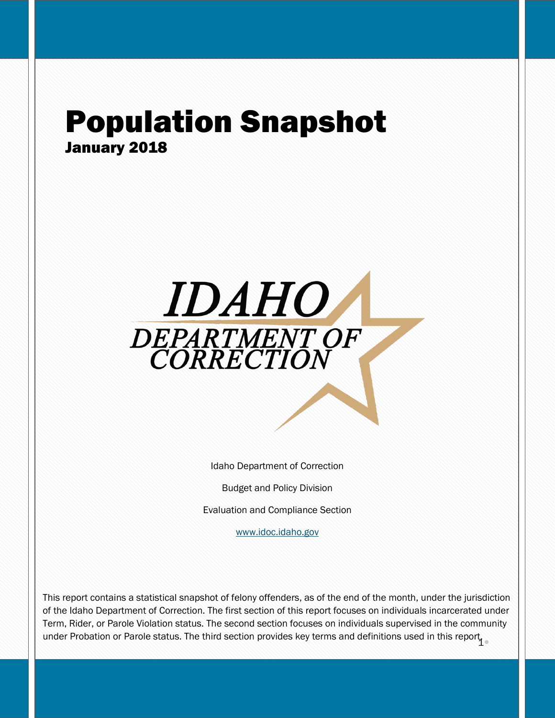## Population Snapshot January 2018



Idaho Department of Correction

Budget and Policy Division

Evaluation and Compliance Section

[www.idoc.idaho.gov](http://www.idoc.idaho.gov/)

under Probation or Parole status. The third section provides key terms and definitions used in this report in This report contains a statistical snapshot of felony offenders, as of the end of the month, under the jurisdiction of the Idaho Department of Correction. The first section of this report focuses on individuals incarcerated under Term, Rider, or Parole Violation status. The second section focuses on individuals supervised in the community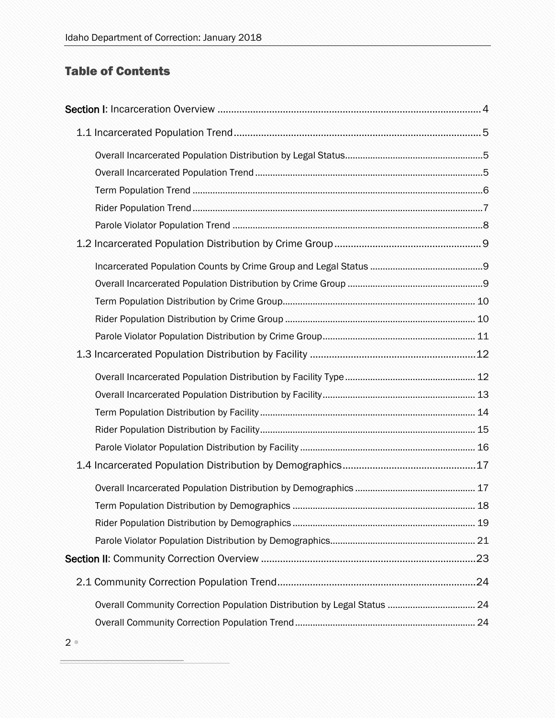## Table of Contents

| 18 |
|----|
|    |
|    |
|    |
|    |
|    |
|    |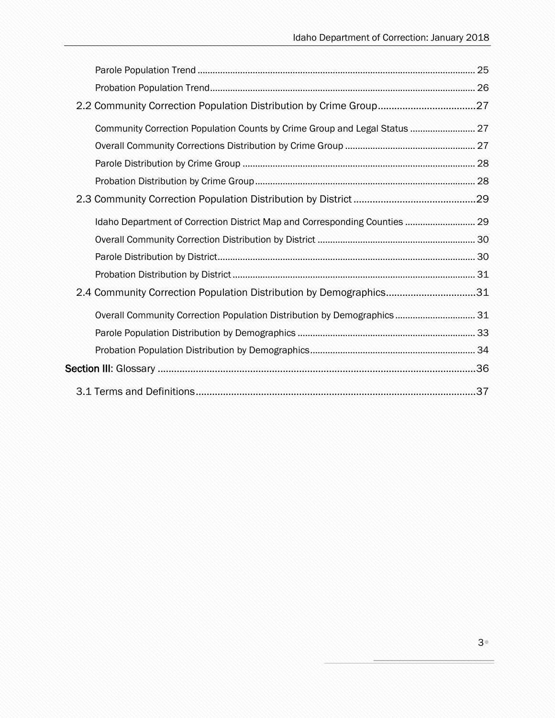| Community Correction Population Counts by Crime Group and Legal Status  27 |  |
|----------------------------------------------------------------------------|--|
|                                                                            |  |
|                                                                            |  |
|                                                                            |  |
|                                                                            |  |
| Idaho Department of Correction District Map and Corresponding Counties  29 |  |
|                                                                            |  |
|                                                                            |  |
|                                                                            |  |
| 2.4 Community Correction Population Distribution by Demographics31         |  |
| Overall Community Correction Population Distribution by Demographics 31    |  |
|                                                                            |  |
|                                                                            |  |
|                                                                            |  |
|                                                                            |  |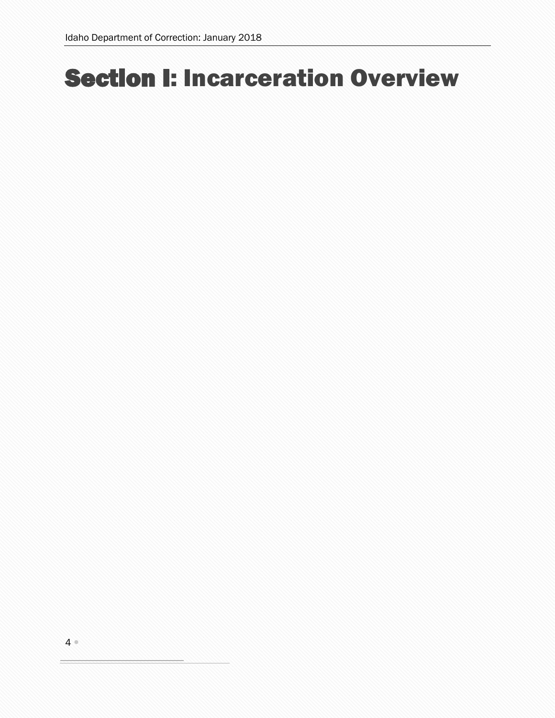# <span id="page-3-0"></span>Section I: Incarceration Overview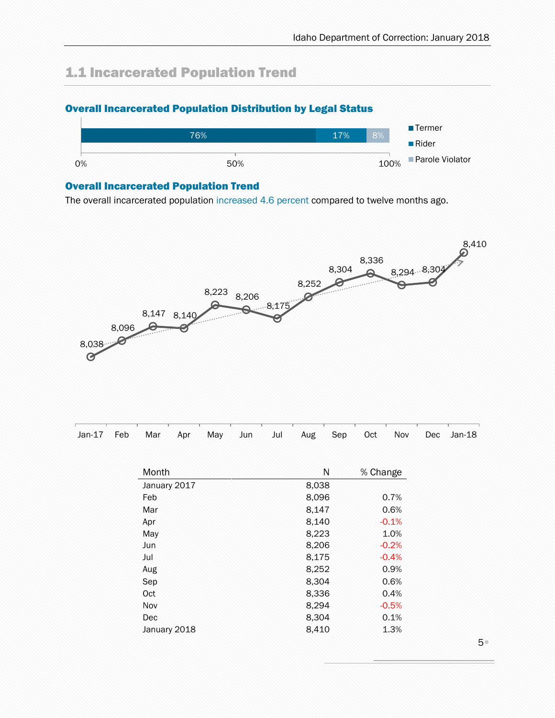## <span id="page-4-0"></span>1.1 Incarcerated Population Trend

### <span id="page-4-1"></span>Overall Incarcerated Population Distribution by Legal Status



#### <span id="page-4-2"></span>Overall Incarcerated Population Trend

The overall incarcerated population increased 4.6 percent compared to twelve months ago.



| Jan-17 Feb Mar Apr May Jun Jul Aug Sep Oct Nov Dec Jan-18 |  |  |  |  |  |  |
|-----------------------------------------------------------|--|--|--|--|--|--|
|                                                           |  |  |  |  |  |  |

| Month        | N     | % Change |
|--------------|-------|----------|
| January 2017 | 8,038 |          |
| Feb          | 8,096 | 0.7%     |
| Mar          | 8,147 | 0.6%     |
| Apr          | 8,140 | $-0.1%$  |
| May          | 8,223 | 1.0%     |
| Jun          | 8,206 | $-0.2%$  |
| Jul          | 8,175 | $-0.4%$  |
| Aug          | 8,252 | 0.9%     |
| Sep          | 8,304 | 0.6%     |
| Oct          | 8,336 | 0.4%     |
| Nov          | 8,294 | $-0.5%$  |
| Dec          | 8,304 | 0.1%     |
| January 2018 | 8,410 | 1.3%     |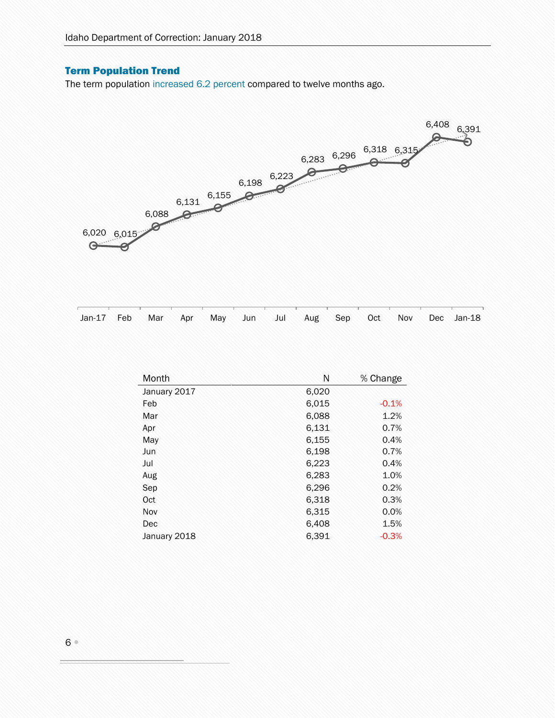### <span id="page-5-0"></span>Term Population Trend

The term population increased 6.2 percent compared to twelve months ago.



| Jan-17 Feb Mar Apr May Jun Jul Aug Sep Oct Nov Dec Jan-18 |  |  |  |  |  |  |
|-----------------------------------------------------------|--|--|--|--|--|--|

| Month        | Ν     | % Change |
|--------------|-------|----------|
| January 2017 | 6,020 |          |
| Feb          | 6,015 | $-0.1%$  |
| Mar          | 6,088 | 1.2%     |
| Apr          | 6,131 | 0.7%     |
| May          | 6,155 | 0.4%     |
| Jun          | 6,198 | 0.7%     |
| Jul          | 6,223 | 0.4%     |
| Aug          | 6,283 | 1.0%     |
| Sep          | 6,296 | 0.2%     |
| Oct          | 6,318 | 0.3%     |
| Nov          | 6,315 | 0.0%     |
| Dec          | 6,408 | 1.5%     |
| January 2018 | 6,391 | $-0.3%$  |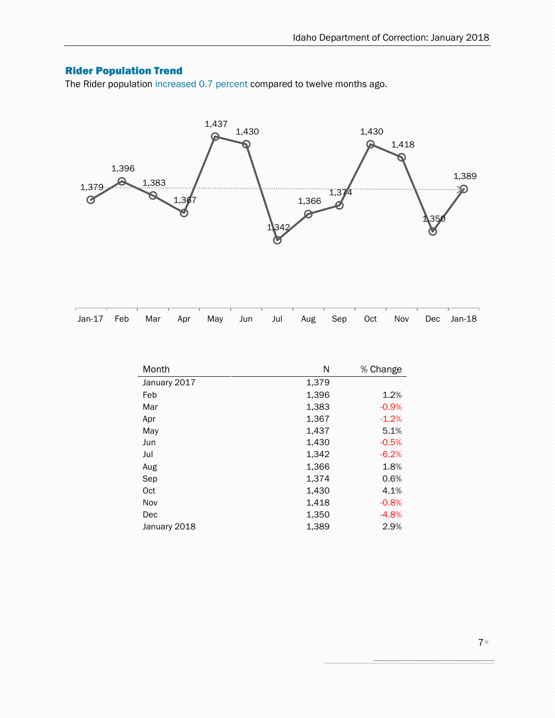### <span id="page-6-0"></span>Rider Population Trend

The Rider population increased 0.7 percent compared to twelve months ago.



| Jan-17 Feb Mar Apr May Jun Jul Aug Sep Oct Nov Dec Jan-18 |  |  |  |  |  |  |
|-----------------------------------------------------------|--|--|--|--|--|--|
|                                                           |  |  |  |  |  |  |

| Month        | Ν     | % Change |
|--------------|-------|----------|
| January 2017 | 1,379 |          |
| Feb          | 1,396 | 1.2%     |
| Mar          | 1,383 | $-0.9%$  |
| Apr          | 1,367 | $-1.2%$  |
| May          | 1,437 | 5.1%     |
| Jun          | 1,430 | $-0.5%$  |
| Jul          | 1,342 | $-6.2%$  |
| Aug          | 1,366 | 1.8%     |
| Sep          | 1,374 | 0.6%     |
| Oct          | 1,430 | 4.1%     |
| Nov          | 1,418 | $-0.8%$  |
| Dec          | 1,350 | $-4.8%$  |
| January 2018 | 1,389 | 2.9%     |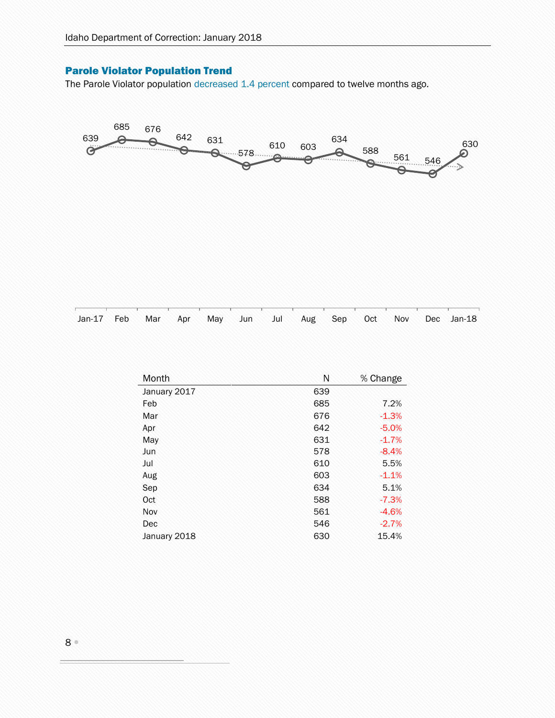### <span id="page-7-0"></span>Parole Violator Population Trend

The Parole Violator population decreased 1.4 percent compared to twelve months ago.



| Jan-17 Feb Mar Apr May Jun Jul Aug Sep Oct Nov Dec Jan-18 |  |  |  |  |  |  |
|-----------------------------------------------------------|--|--|--|--|--|--|
|                                                           |  |  |  |  |  |  |

| Month        | Ν   | % Change |
|--------------|-----|----------|
| January 2017 | 639 |          |
| Feb          | 685 | 7.2%     |
| Mar          | 676 | $-1.3%$  |
| Apr          | 642 | $-5.0%$  |
| May          | 631 | $-1.7%$  |
| Jun          | 578 | $-8.4%$  |
| Jul          | 610 | 5.5%     |
| Aug          | 603 | $-1.1%$  |
| Sep          | 634 | 5.1%     |
| Oct          | 588 | $-7.3%$  |
| Nov          | 561 | $-4.6%$  |
| Dec          | 546 | $-2.7%$  |
| January 2018 | 630 | 15.4%    |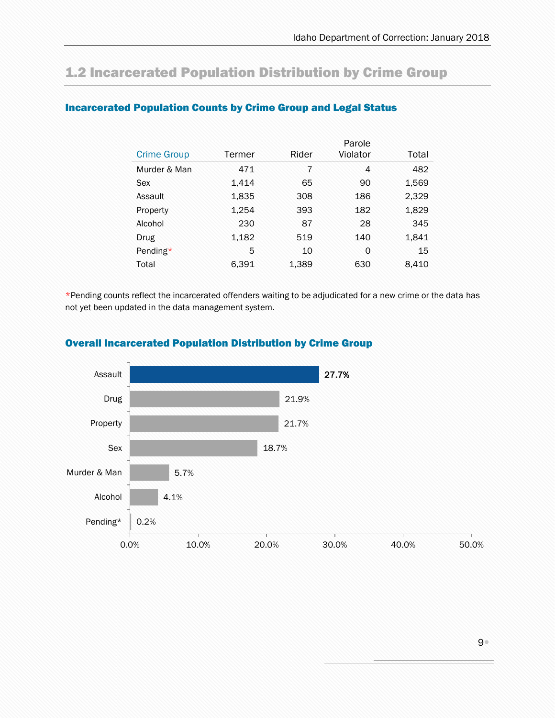## <span id="page-8-0"></span>1.2 Incarcerated Population Distribution by Crime Group

|                    |        |       | Parole         |       |
|--------------------|--------|-------|----------------|-------|
| <b>Crime Group</b> | Termer | Rider | Violator       | Total |
| Murder & Man       | 471    | 7     | $\overline{4}$ | 482   |
| Sex                | 1,414  | 65    | 90             | 1,569 |
| Assault            | 1,835  | 308   | 186            | 2,329 |
| Property           | 1,254  | 393   | 182            | 1,829 |
| Alcohol            | 230    | 87    | 28             | 345   |
| Drug               | 1,182  | 519   | 140            | 1,841 |
| Pending*           | 5      | 10    | 0              | 15    |
| Total              | 6,391  | 1,389 | 630            | 8,410 |

### <span id="page-8-1"></span>Incarcerated Population Counts by Crime Group and Legal Status

\*Pending counts reflect the incarcerated offenders waiting to be adjudicated for a new crime or the data has not yet been updated in the data management system.



### <span id="page-8-2"></span>Overall Incarcerated Population Distribution by Crime Group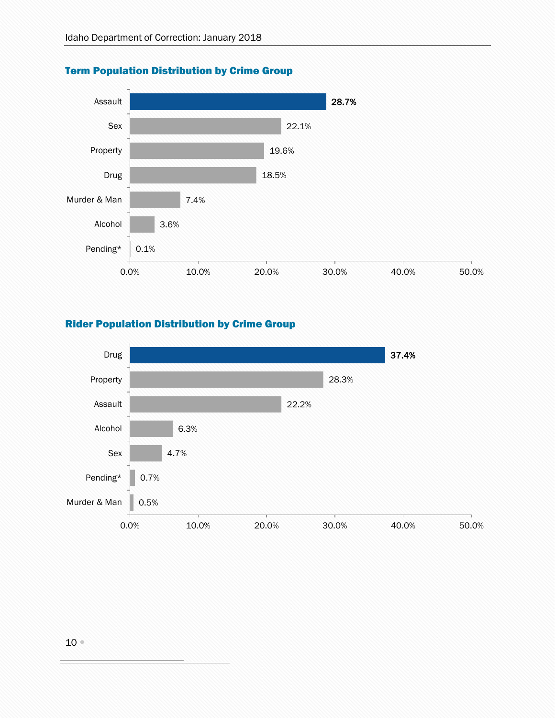

### <span id="page-9-0"></span>Term Population Distribution by Crime Group

### <span id="page-9-1"></span>Rider Population Distribution by Crime Group

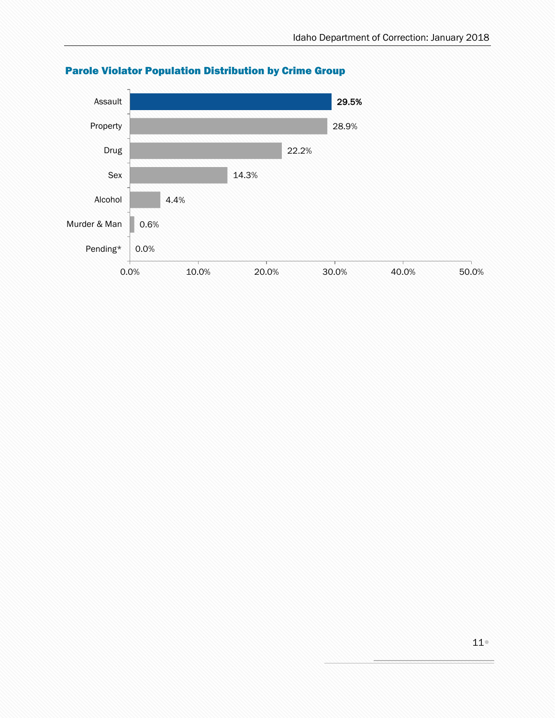

### <span id="page-10-0"></span>Parole Violator Population Distribution by Crime Group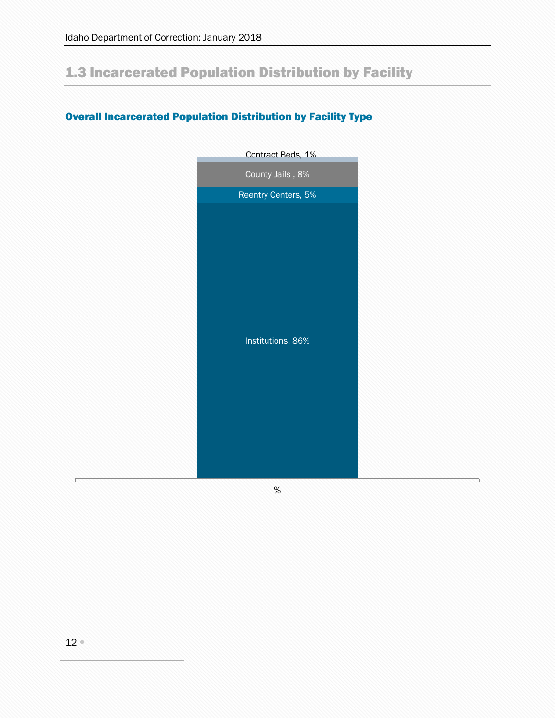## <span id="page-11-0"></span>1.3 Incarcerated Population Distribution by Facility

### <span id="page-11-1"></span>Overall Incarcerated Population Distribution by Facility Type



%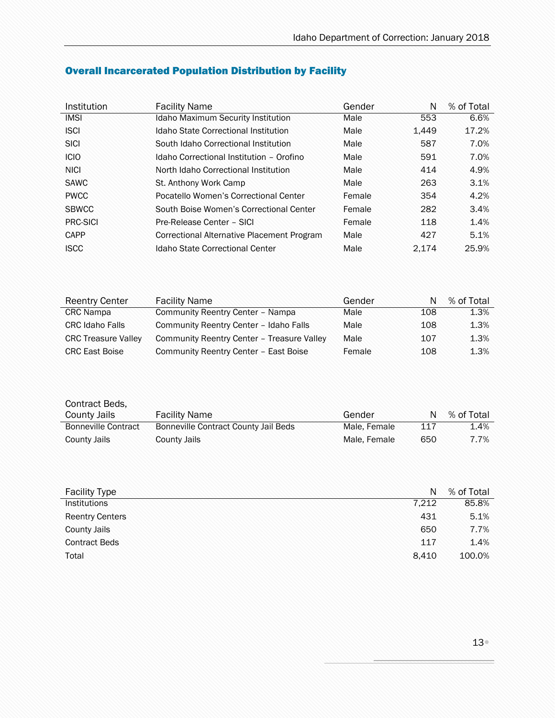| Institution     | <b>Facility Name</b>                       | Gender | N     | % of Total |
|-----------------|--------------------------------------------|--------|-------|------------|
| <b>IMSI</b>     | <b>Idaho Maximum Security Institution</b>  | Male   | 553   | 6.6%       |
| <b>ISCI</b>     | Idaho State Correctional Institution       | Male   | 1.449 | 17.2%      |
| <b>SICI</b>     | South Idaho Correctional Institution       | Male   | 587   | 7.0%       |
| <b>ICIO</b>     | Idaho Correctional Institution - Orofino   | Male   | 591   | 7.0%       |
| <b>NICI</b>     | North Idaho Correctional Institution       | Male   | 414   | 4.9%       |
| <b>SAWC</b>     | St. Anthony Work Camp                      | Male   | 263   | 3.1%       |
| <b>PWCC</b>     | Pocatello Women's Correctional Center      | Female | 354   | 4.2%       |
| <b>SBWCC</b>    | South Boise Women's Correctional Center    | Female | 282   | 3.4%       |
| <b>PRC-SICI</b> | Pre-Release Center - SICI                  | Female | 118   | 1.4%       |
| <b>CAPP</b>     | Correctional Alternative Placement Program | Male   | 427   | 5.1%       |
| <b>ISCC</b>     | Idaho State Correctional Center            | Male   | 2.174 | 25.9%      |

### <span id="page-12-0"></span>Overall Incarcerated Population Distribution by Facility

| <b>Reentry Center</b>      | <b>Facility Name</b>                       | Gender | N   | % of Total |
|----------------------------|--------------------------------------------|--------|-----|------------|
| <b>CRC</b> Nampa           | Community Reentry Center - Nampa           | Male   | 108 | 1.3%       |
| <b>CRC</b> Idaho Falls     | Community Reentry Center - Idaho Falls     | Male   | 108 | 1.3%       |
| <b>CRC Treasure Valley</b> | Community Reentry Center - Treasure Valley | Male   | 107 | 1.3%       |
| <b>CRC East Boise</b>      | Community Reentry Center - East Boise      | Female | 108 | 1.3%       |

| Contract Beds,      |                                      |              |     |            |
|---------------------|--------------------------------------|--------------|-----|------------|
| County Jails        | <b>Facility Name</b>                 | Gender       | N   | % of Total |
| Bonneville Contract | Bonneville Contract County Jail Beds | Male, Female | 117 | 1.4%       |
| <b>County Jails</b> | County Jails                         | Male, Female | 650 | 7.7%       |

| <b>Facility Type</b>   | N     | % of Total |
|------------------------|-------|------------|
| Institutions           | 7.212 | 85.8%      |
| <b>Reentry Centers</b> | 431   | 5.1%       |
| <b>County Jails</b>    | 650   | 7.7%       |
| <b>Contract Beds</b>   | 117   | 1.4%       |
| Total                  | 8.410 | 100.0%     |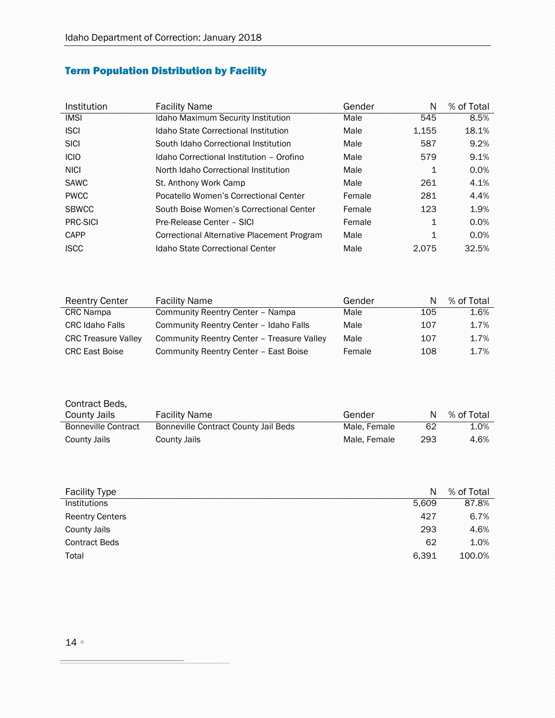## <span id="page-13-0"></span>Term Population Distribution by Facility

| Institution  | <b>Facility Name</b>                       | Gender | N     | % of Total |
|--------------|--------------------------------------------|--------|-------|------------|
| <b>IMSI</b>  | <b>Idaho Maximum Security Institution</b>  | Male   | 545   | 8.5%       |
| <b>ISCI</b>  | Idaho State Correctional Institution       | Male   | 1,155 | 18.1%      |
| <b>SICI</b>  | South Idaho Correctional Institution       | Male   | 587   | 9.2%       |
| <b>ICIO</b>  | Idaho Correctional Institution - Orofino   | Male   | 579   | 9.1%       |
| <b>NICI</b>  | North Idaho Correctional Institution       | Male   | 1     | 0.0%       |
| <b>SAWC</b>  | St. Anthony Work Camp                      | Male   | 261   | 4.1%       |
| <b>PWCC</b>  | Pocatello Women's Correctional Center      | Female | 281   | 4.4%       |
| <b>SBWCC</b> | South Boise Women's Correctional Center    | Female | 123   | 1.9%       |
| PRC-SICI     | Pre-Release Center - SICI                  | Female | 1     | 0.0%       |
| CAPP         | Correctional Alternative Placement Program | Male   | 1     | 0.0%       |
| <b>ISCC</b>  | Idaho State Correctional Center            | Male   | 2.075 | 32.5%      |

| <b>Reentry Center</b>      | <b>Facility Name</b>                       | Gender | N   | % of Total |
|----------------------------|--------------------------------------------|--------|-----|------------|
| <b>CRC</b> Nampa           | Community Reentry Center - Nampa           | Male   | 105 | 1.6%       |
| <b>CRC Idaho Falls</b>     | Community Reentry Center - Idaho Falls     | Male   | 107 | 1.7%       |
| <b>CRC Treasure Valley</b> | Community Reentry Center - Treasure Valley | Male   | 107 | 1.7%       |
| <b>CRC East Boise</b>      | Community Reentry Center - East Boise      | Female | 108 | 1.7%       |

| Contract Beds,             |                                      |              |     |            |
|----------------------------|--------------------------------------|--------------|-----|------------|
| County Jails               | <b>Facility Name</b>                 | Gender       | N   | % of Total |
| <b>Bonneville Contract</b> | Bonneville Contract County Jail Beds | Male, Female | 62  | 1.0%       |
| <b>County Jails</b>        | <b>County Jails</b>                  | Male, Female | 293 | 4.6%       |

| <b>Facility Type</b>   | N     | % of Total |
|------------------------|-------|------------|
| <b>Institutions</b>    | 5.609 | 87.8%      |
| <b>Reentry Centers</b> | 427   | 6.7%       |
| <b>County Jails</b>    | 293   | 4.6%       |
| <b>Contract Beds</b>   | 62    | 1.0%       |
| Total                  | 6.391 | 100.0%     |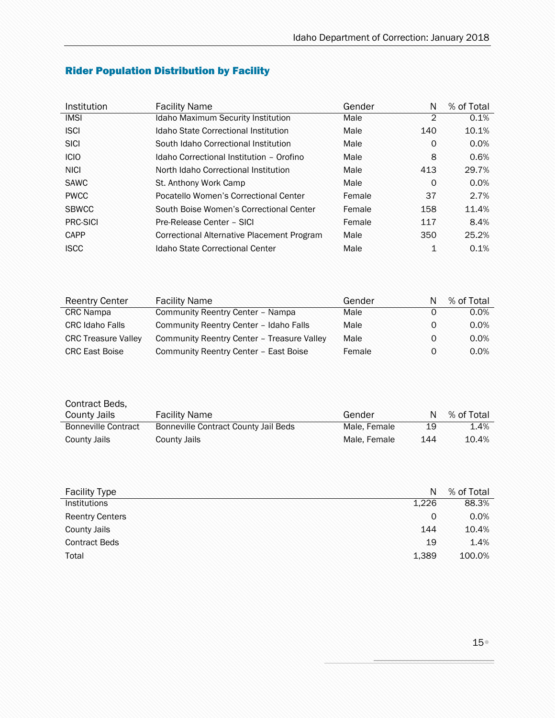| Institution  | <b>Facility Name</b>                       | Gender | N        | % of Total |
|--------------|--------------------------------------------|--------|----------|------------|
| <b>IMSI</b>  | <b>Idaho Maximum Security Institution</b>  | Male   | 2        | 0.1%       |
| <b>ISCI</b>  | Idaho State Correctional Institution       | Male   | 140      | 10.1%      |
| <b>SICI</b>  | South Idaho Correctional Institution       | Male   | 0        | 0.0%       |
| <b>ICIO</b>  | Idaho Correctional Institution - Orofino   | Male   | 8        | 0.6%       |
| <b>NICI</b>  | North Idaho Correctional Institution       | Male   | 413      | 29.7%      |
| <b>SAWC</b>  | St. Anthony Work Camp                      | Male   | $\Omega$ | 0.0%       |
| <b>PWCC</b>  | Pocatello Women's Correctional Center      | Female | 37       | 2.7%       |
| <b>SBWCC</b> | South Boise Women's Correctional Center    | Female | 158      | 11.4%      |
| PRC-SICI     | Pre-Release Center - SICI                  | Female | 117      | 8.4%       |
| CAPP         | Correctional Alternative Placement Program | Male   | 350      | 25.2%      |
| <b>ISCC</b>  | Idaho State Correctional Center            | Male   | 1        | 0.1%       |

## <span id="page-14-0"></span>Rider Population Distribution by Facility

| <b>Reentry Center</b>      | <b>Facility Name</b>                       | Gender | N | % of Total |
|----------------------------|--------------------------------------------|--------|---|------------|
| <b>CRC</b> Nampa           | Community Reentry Center - Nampa           | Male   | 0 | $0.0\%$    |
| <b>CRC Idaho Falls</b>     | Community Reentry Center - Idaho Falls     | Male   | 0 | 0.0%       |
| <b>CRC Treasure Valley</b> | Community Reentry Center - Treasure Valley | Male   | 0 | 0.0%       |
| <b>CRC East Boise</b>      | Community Reentry Center - East Boise      | Female | 0 | $0.0\%$    |

| Contract Beds,<br>County Jails | <b>Facility Name</b>                 | Gender       | N   | % of Total |
|--------------------------------|--------------------------------------|--------------|-----|------------|
| <b>Bonneville Contract</b>     | Bonneville Contract County Jail Beds | Male, Female | 19  | 1.4%       |
| <b>County Jails</b>            | <b>County Jails</b>                  | Male, Female | 144 | 10.4%      |

| <b>Facility Type</b>   | N     | % of Total |
|------------------------|-------|------------|
| Institutions           | 1,226 | 88.3%      |
| <b>Reentry Centers</b> | 0     | 0.0%       |
| <b>County Jails</b>    | 144   | 10.4%      |
| <b>Contract Beds</b>   | 19    | 1.4%       |
| Total                  | 1,389 | 100.0%     |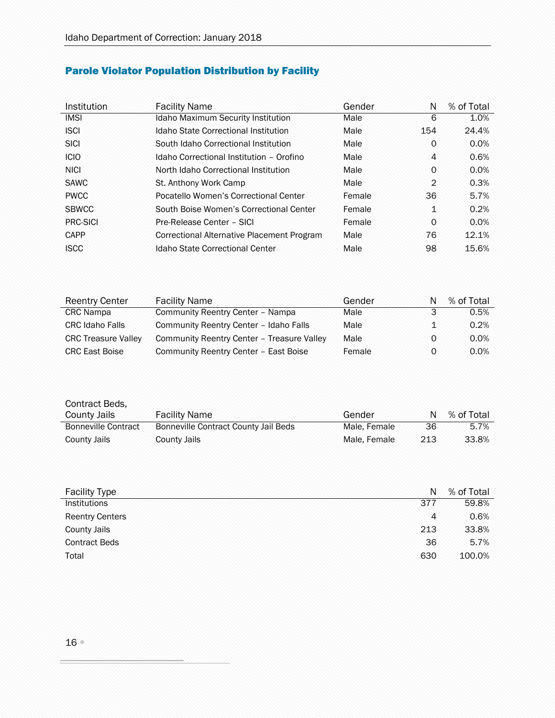## <span id="page-15-0"></span>Parole Violator Population Distribution by Facility

| Institution     | <b>Facility Name</b>                       | Gender | N              | % of Total |
|-----------------|--------------------------------------------|--------|----------------|------------|
| <b>IMSI</b>     | <b>Idaho Maximum Security Institution</b>  | Male   | 6              | 1.0%       |
| <b>ISCI</b>     | Idaho State Correctional Institution       | Male   | 154            | 24.4%      |
| <b>SICI</b>     | South Idaho Correctional Institution       | Male   | 0              | 0.0%       |
| <b>ICIO</b>     | Idaho Correctional Institution - Orofino   | Male   | $\overline{4}$ | 0.6%       |
| <b>NICI</b>     | North Idaho Correctional Institution       | Male   | 0              | 0.0%       |
| <b>SAWC</b>     | St. Anthony Work Camp                      | Male   | $\overline{2}$ | 0.3%       |
| <b>PWCC</b>     | Pocatello Women's Correctional Center      | Female | 36             | 5.7%       |
| <b>SBWCC</b>    | South Boise Women's Correctional Center    | Female | 1              | 0.2%       |
| <b>PRC-SICI</b> | Pre-Release Center - SICI                  | Female | 0              | 0.0%       |
| CAPP            | Correctional Alternative Placement Program | Male   | 76             | 12.1%      |
| <b>ISCC</b>     | Idaho State Correctional Center            | Male   | 98             | 15.6%      |

| <b>Reentry Center</b>      | <b>Facility Name</b>                       | Gender |   | % of Total |
|----------------------------|--------------------------------------------|--------|---|------------|
| <b>CRC</b> Nampa           | Community Reentry Center - Nampa           | Male   | 3 | 0.5%       |
| <b>CRC Idaho Falls</b>     | Community Reentry Center - Idaho Falls     | Male   |   | 0.2%       |
| <b>CRC Treasure Valley</b> | Community Reentry Center - Treasure Valley | Male   | 0 | $0.0\%$    |
| <b>CRC East Boise</b>      | Community Reentry Center - East Boise      | Female | 0 | $0.0\%$    |

| Contract Beds,             |                                      |              |     |            |
|----------------------------|--------------------------------------|--------------|-----|------------|
| County Jails               | <b>Facility Name</b>                 | Gender       | N   | % of Total |
| <b>Bonneville Contract</b> | Bonneville Contract County Jail Beds | Male, Female | 36  | 5.7%       |
| County Jails               | County Jails                         | Male, Female | 213 | 33.8%      |

| <b>Facility Type</b>   | N              | % of Total |
|------------------------|----------------|------------|
| Institutions           | 377            | 59.8%      |
| <b>Reentry Centers</b> | $\overline{4}$ | 0.6%       |
| <b>County Jails</b>    | 213            | 33.8%      |
| <b>Contract Beds</b>   | 36             | 5.7%       |
| Total                  | 630            | 100.0%     |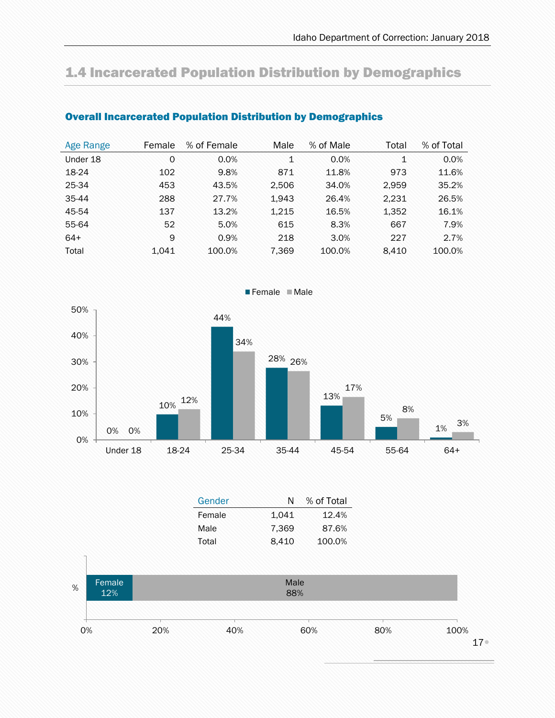## <span id="page-16-0"></span>1.4 Incarcerated Population Distribution by Demographics

| Age Range | Female | % of Female | Male         | % of Male | Total | % of Total |
|-----------|--------|-------------|--------------|-----------|-------|------------|
| Under 18  | 0      | 0.0%        | $\mathbf{1}$ | 0.0%      | 1     | 0.0%       |
| 18-24     | 102    | 9.8%        | 871          | 11.8%     | 973   | 11.6%      |
| 25-34     | 453    | 43.5%       | 2,506        | 34.0%     | 2.959 | 35.2%      |
| 35-44     | 288    | 27.7%       | 1,943        | 26.4%     | 2.231 | 26.5%      |
| 45-54     | 137    | 13.2%       | 1.215        | 16.5%     | 1.352 | 16.1%      |
| 55-64     | 52     | 5.0%        | 615          | 8.3%      | 667   | 7.9%       |
| $64+$     | 9      | 0.9%        | 218          | 3.0%      | 227   | 2.7%       |
| Total     | 1.041  | 100.0%      | 7,369        | 100.0%    | 8.410 | 100.0%     |

### <span id="page-16-1"></span>Overall Incarcerated Population Distribution by Demographics



Gender N % of Total Female  $1,041$   $12.4\%$ Male 7,369 87.6% Total 8,410 100.0%

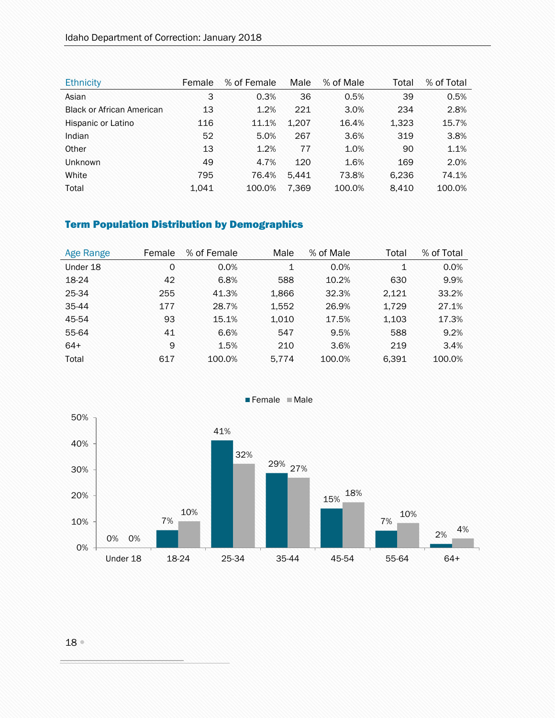| <b>Ethnicity</b>                 | Female | % of Female | Male  | % of Male | Total | % of Total |
|----------------------------------|--------|-------------|-------|-----------|-------|------------|
| Asian                            | 3      | 0.3%        | 36    | 0.5%      | 39    | 0.5%       |
| <b>Black or African American</b> | 13     | 1.2%        | 221   | 3.0%      | 234   | 2.8%       |
| Hispanic or Latino               | 116    | 11.1%       | 1.207 | 16.4%     | 1,323 | 15.7%      |
| Indian                           | 52     | 5.0%        | 267   | 3.6%      | 319   | 3.8%       |
| Other                            | 13     | 1.2%        | 77    | 1.0%      | 90    | 1.1%       |
| <b>Unknown</b>                   | 49     | 4.7%        | 120   | 1.6%      | 169   | 2.0%       |
| White                            | 795    | 76.4%       | 5.441 | 73.8%     | 6,236 | 74.1%      |
| Total                            | 1.041  | 100.0%      | 7.369 | 100.0%    | 8.410 | 100.0%     |

### <span id="page-17-0"></span>Term Population Distribution by Demographics

| Age Range | Female | % of Female | Male  | % of Male | Total | % of Total |
|-----------|--------|-------------|-------|-----------|-------|------------|
| Under 18  | 0      | 0.0%        | 1     | 0.0%      | 1     | 0.0%       |
| 18-24     | 42     | 6.8%        | 588   | 10.2%     | 630   | 9.9%       |
| 25-34     | 255    | 41.3%       | 1,866 | 32.3%     | 2.121 | 33.2%      |
| $35 - 44$ | 177    | 28.7%       | 1,552 | 26.9%     | 1.729 | 27.1%      |
| 45-54     | 93     | 15.1%       | 1,010 | 17.5%     | 1,103 | 17.3%      |
| 55-64     | 41     | 6.6%        | 547   | 9.5%      | 588   | 9.2%       |
| $64+$     | 9      | 1.5%        | 210   | 3.6%      | 219   | 3.4%       |
| Total     | 617    | 100.0%      | 5.774 | 100.0%    | 6.391 | 100.0%     |



Female Male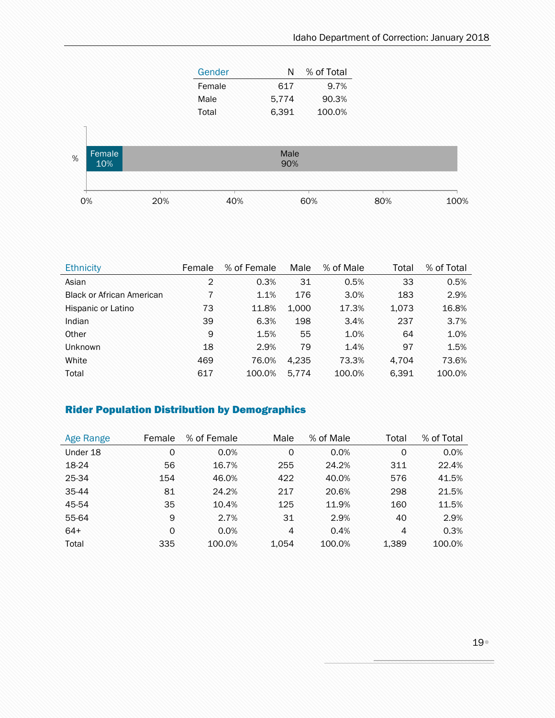| Gender | N     | % of Total |
|--------|-------|------------|
| Female | 617   | 9.7%       |
| Male   | 5.774 | 90.3%      |
| Total  | 6,391 | 100.0%     |



| <b>Ethnicity</b>                 | Female | % of Female | Male  | % of Male | Total | % of Total |
|----------------------------------|--------|-------------|-------|-----------|-------|------------|
| Asian                            | 2      | 0.3%        | 31    | 0.5%      | 33    | 0.5%       |
| <b>Black or African American</b> |        | 1.1%        | 176   | 3.0%      | 183   | 2.9%       |
| Hispanic or Latino               | 73     | 11.8%       | 1.000 | 17.3%     | 1,073 | 16.8%      |
| Indian                           | 39     | 6.3%        | 198   | 3.4%      | 237   | 3.7%       |
| Other                            | 9      | 1.5%        | 55    | 1.0%      | 64    | 1.0%       |
| <b>Unknown</b>                   | 18     | 2.9%        | 79    | 1.4%      | 97    | 1.5%       |
| White                            | 469    | 76.0%       | 4.235 | 73.3%     | 4.704 | 73.6%      |
| Total                            | 617    | 100.0%      | 5.774 | 100.0%    | 6,391 | 100.0%     |

### <span id="page-18-0"></span>Rider Population Distribution by Demographics

| Age Range | Female   | % of Female | Male  | % of Male | Total | % of Total |
|-----------|----------|-------------|-------|-----------|-------|------------|
| Under 18  | 0        | 0.0%        | 0     | 0.0%      | 0     | 0.0%       |
| 18-24     | 56       | 16.7%       | 255   | 24.2%     | 311   | 22.4%      |
| 25-34     | 154      | 46.0%       | 422   | 40.0%     | 576   | 41.5%      |
| 35-44     | 81       | 24.2%       | 217   | 20.6%     | 298   | 21.5%      |
| 45-54     | 35       | 10.4%       | 125   | 11.9%     | 160   | 11.5%      |
| 55-64     | 9        | 2.7%        | 31    | 2.9%      | 40    | 2.9%       |
| $64+$     | $\Omega$ | 0.0%        | 4     | 0.4%      | 4     | 0.3%       |
| Total     | 335      | 100.0%      | 1.054 | 100.0%    | 1,389 | 100.0%     |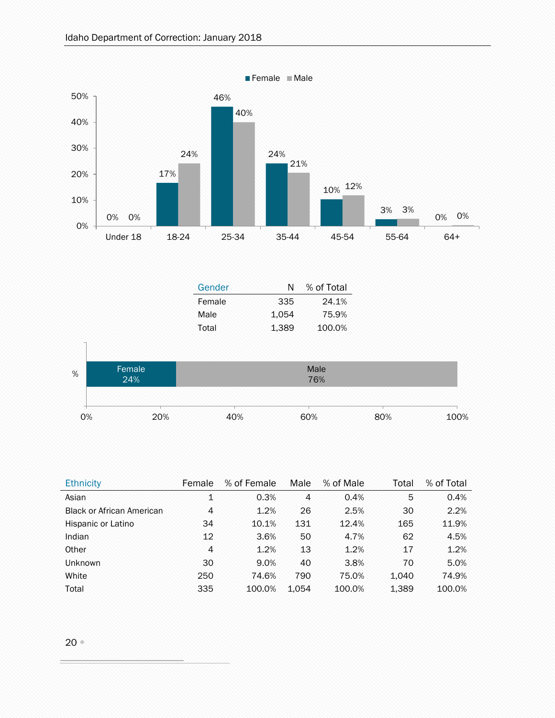

| <b>Ethnicity</b>                 | Female | % of Female | Male  | % of Male | Total | % of Total |
|----------------------------------|--------|-------------|-------|-----------|-------|------------|
| Asian                            | 1      | 0.3%        | 4     | 0.4%      | 5     | 0.4%       |
| <b>Black or African American</b> | 4      | 1.2%        | 26    | 2.5%      | 30    | 2.2%       |
| Hispanic or Latino               | 34     | 10.1%       | 131   | 12.4%     | 165   | 11.9%      |
| Indian                           | 12     | 3.6%        | 50    | 4.7%      | 62    | 4.5%       |
| Other                            | 4      | 1.2%        | 13    | 1.2%      | 17    | 1.2%       |
| <b>Unknown</b>                   | 30     | 9.0%        | 40    | 3.8%      | 70    | 5.0%       |
| White                            | 250    | 74.6%       | 790   | 75.0%     | 1.040 | 74.9%      |
| Total                            | 335    | 100.0%      | 1.054 | 100.0%    | 1,389 | 100.0%     |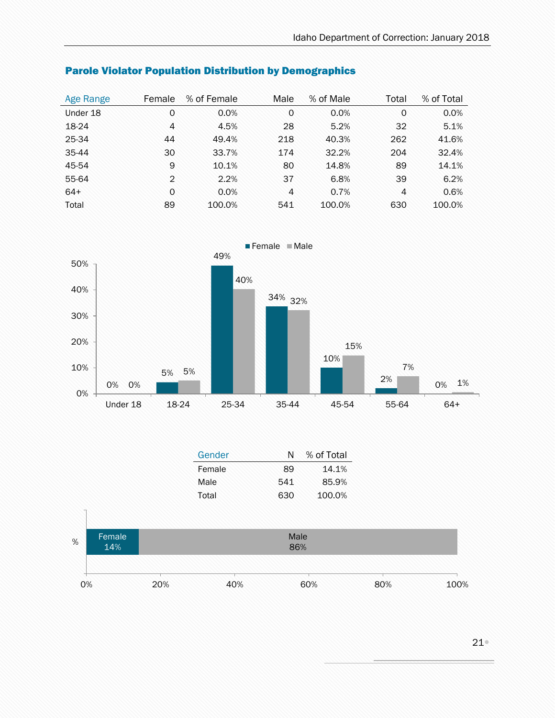| Age Range | Female         | % of Female | Male           | % of Male | Total          | % of Total |
|-----------|----------------|-------------|----------------|-----------|----------------|------------|
| Under 18  | 0              | 0.0%        | $\circ$        | 0.0%      | $\Omega$       | 0.0%       |
| 18-24     | $\overline{4}$ | 4.5%        | 28             | 5.2%      | 32             | 5.1%       |
| 25-34     | 44             | 49.4%       | 218            | 40.3%     | 262            | 41.6%      |
| 35-44     | 30             | 33.7%       | 174            | 32.2%     | 204            | 32.4%      |
| 45-54     | 9              | 10.1%       | 80             | 14.8%     | 89             | 14.1%      |
| 55-64     | 2              | 2.2%        | 37             | 6.8%      | 39             | 6.2%       |
| $64+$     | $\Omega$       | 0.0%        | $\overline{4}$ | 0.7%      | $\overline{4}$ | 0.6%       |
| Total     | 89             | 100.0%      | 541            | 100.0%    | 630            | 100.0%     |

### <span id="page-20-0"></span>Parole Violator Population Distribution by Demographics



|   |        | Gender | N    | % of Total |
|---|--------|--------|------|------------|
|   |        | Female | 89   | 14.1%      |
|   |        | Male   | 541  | 85.9%      |
|   |        | Total  | 630  | 100.0%     |
|   |        |        |      |            |
|   |        |        |      |            |
| % | Female |        | Male |            |
|   | 14%    |        | 86%  |            |
|   |        |        |      |            |

| 0% | 20% | 40% | 60% | 80% | 100% |
|----|-----|-----|-----|-----|------|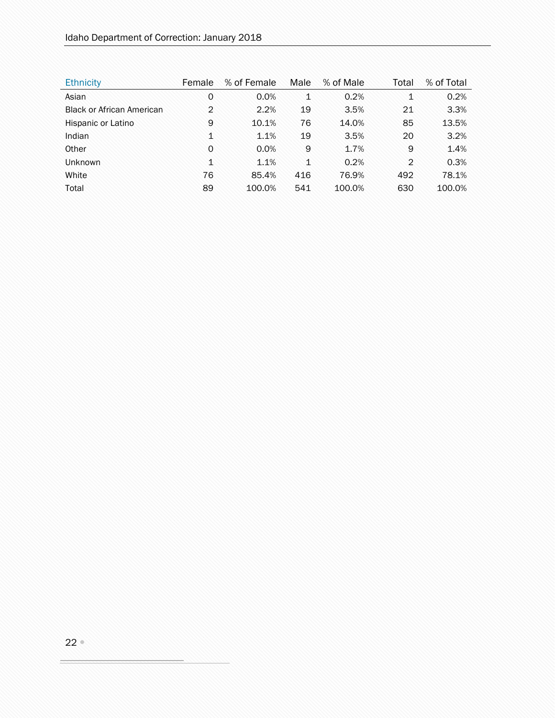| <b>Ethnicity</b>                 | Female       | % of Female | Male         | % of Male | Total          | % of Total |
|----------------------------------|--------------|-------------|--------------|-----------|----------------|------------|
| Asian                            | 0            | 0.0%        | 1            | 0.2%      | 1              | 0.2%       |
| <b>Black or African American</b> | 2            | 2.2%        | 19           | 3.5%      | 21             | 3.3%       |
| Hispanic or Latino               | 9            | 10.1%       | 76           | 14.0%     | 85             | 13.5%      |
| Indian                           | $\mathbf{1}$ | 1.1%        | 19           | 3.5%      | 20             | 3.2%       |
| Other                            | $\Omega$     | 0.0%        | 9            | 1.7%      | 9              | 1.4%       |
| <b>Unknown</b>                   | $\mathbf{1}$ | 1.1%        | $\mathbf{1}$ | 0.2%      | $\overline{2}$ | 0.3%       |
| White                            | 76           | 85.4%       | 416          | 76.9%     | 492            | 78.1%      |
| Total                            | 89           | 100.0%      | 541          | 100.0%    | 630            | 100.0%     |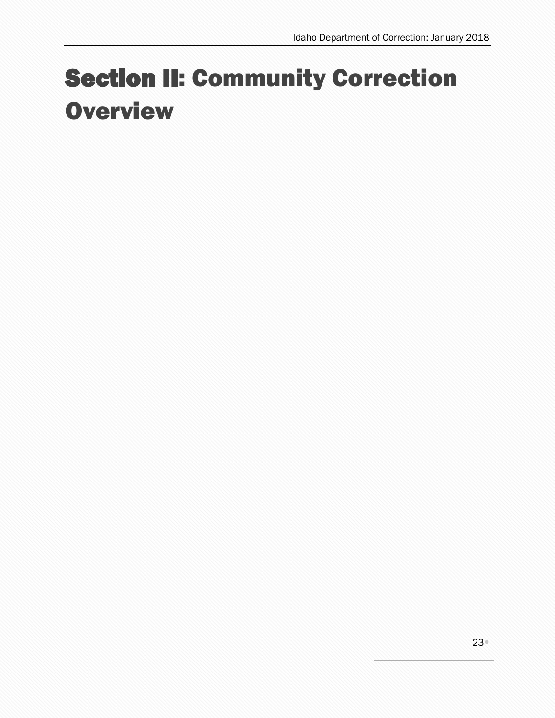# <span id="page-22-0"></span>Section II: Community Correction **Overview**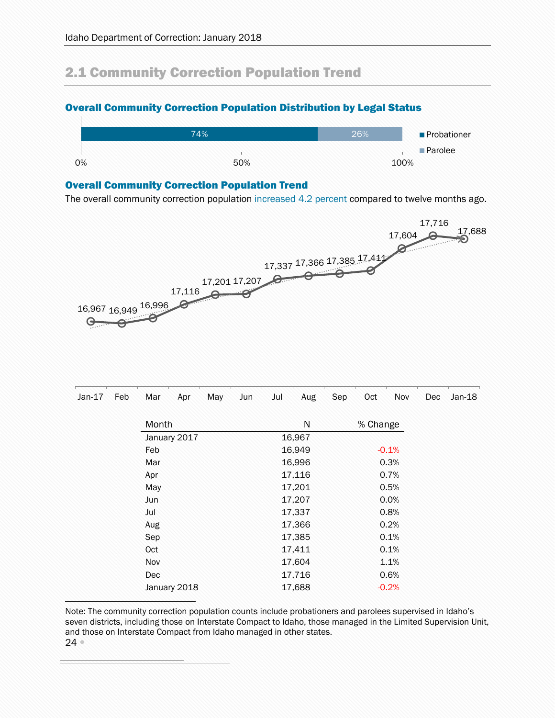## <span id="page-23-0"></span>2.1 Community Correction Population Trend

### <span id="page-23-1"></span>Overall Community Correction Population Distribution by Legal Status



### <span id="page-23-2"></span>Overall Community Correction Population Trend

The overall community correction population increased 4.2 percent compared to twelve months ago.



| $Jan-17$ | Feb | Mar        | Apr                 | May    | Jun            | Jul    | Aug    | Sep     | Oct      | Nov     | Dec | $Jan-18$ |
|----------|-----|------------|---------------------|--------|----------------|--------|--------|---------|----------|---------|-----|----------|
|          |     | Month      |                     |        |                |        | N      |         | % Change |         |     |          |
|          |     |            | January 2017<br>Feb |        |                |        | 16,967 | $-0.1%$ |          |         |     |          |
|          |     |            |                     |        |                |        |        |         |          |         |     | 16,949   |
|          |     | Mar        |                     |        |                |        | 16,996 |         |          | 0.3%    |     |          |
|          |     | Apr        |                     |        | 17,116<br>0.7% |        |        |         |          |         |     |          |
|          |     | May        |                     | 17,201 |                |        |        |         |          | 0.5%    |     |          |
|          |     | <b>Jun</b> |                     |        |                | 17,207 | 0.0%   |         |          |         |     |          |
|          |     | Jul        | 17,337              |        |                |        |        | 0.8%    |          |         |     |          |
|          |     | Aug        |                     |        |                |        | 17,366 |         |          | 0.2%    |     |          |
|          |     | Sep        |                     |        |                |        | 17,385 |         |          | 0.1%    |     |          |
|          | Oct |            |                     |        |                | 17,411 |        |         | 0.1%     |         |     |          |
|          |     | Nov        |                     |        |                |        | 17,604 | 1.1%    |          |         |     |          |
|          |     | Dec        |                     |        |                |        | 17,716 |         |          | 0.6%    |     |          |
|          |     |            | January 2018        |        |                |        | 17,688 |         |          | $-0.2%$ |     |          |

Note: The community correction population counts include probationers and parolees supervised in Idaho's seven districts, including those on Interstate Compact to Idaho, those managed in the Limited Supervision Unit, and those on Interstate Compact from Idaho managed in other states.

 $24<sup>°</sup>$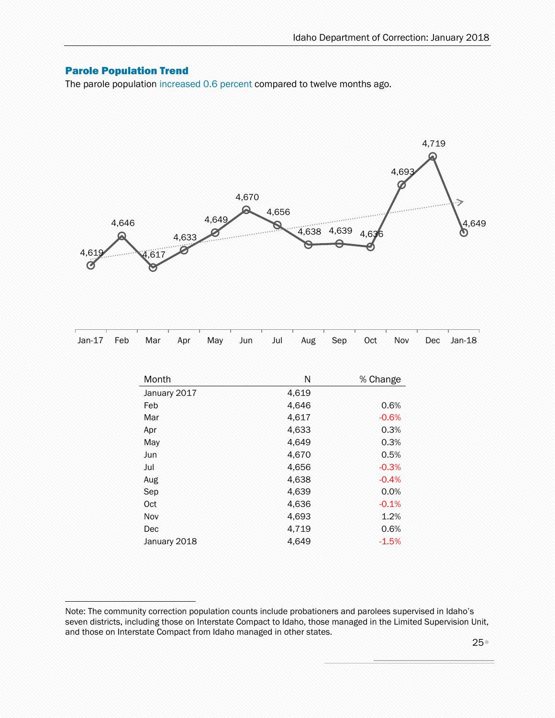### <span id="page-24-0"></span>Parole Population Trend

ì

The parole population increased 0.6 percent compared to twelve months ago.



|  |  |  |  |  |  | <u>noon oo kaasaa kaasaa kaasaa harraa ahaa aan harraa ahaan harraa harraa kaasaa kaasaa kaasaa harraa harraa r</u> |
|--|--|--|--|--|--|---------------------------------------------------------------------------------------------------------------------|
|  |  |  |  |  |  | Jan-17 Feb Mar Apr May Jun Jul Aug Sep Oct Nov Dec Jan-18                                                           |

| Month        | N     | % Change |
|--------------|-------|----------|
| January 2017 | 4,619 |          |
| Feb          | 4,646 | 0.6%     |
| Mar          | 4,617 | $-0.6%$  |
| Apr          | 4,633 | 0.3%     |
| May          | 4,649 | 0.3%     |
| Jun          | 4,670 | 0.5%     |
| Jul          | 4,656 | $-0.3%$  |
| Aug          | 4,638 | $-0.4%$  |
| Sep          | 4,639 | 0.0%     |
| Oct          | 4,636 | $-0.1%$  |
| Nov          | 4,693 | 1.2%     |
| Dec          | 4,719 | 0.6%     |
| January 2018 | 4.649 | $-1.5%$  |

Note: The community correction population counts include probationers and parolees supervised in Idaho's seven districts, including those on Interstate Compact to Idaho, those managed in the Limited Supervision Unit, and those on Interstate Compact from Idaho managed in other states.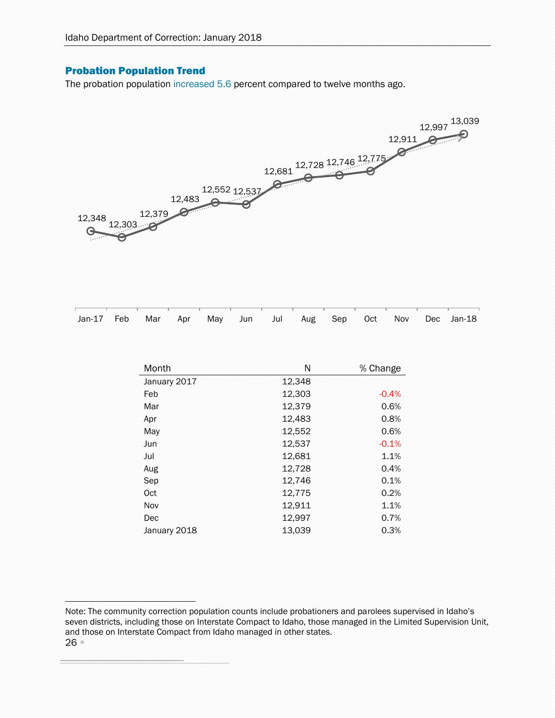### <span id="page-25-0"></span>Probation Population Trend

ì

The probation population increased 5.6 percent compared to twelve months ago.



| Jan-17 Feb Mar Apr May Jun Jul Aug Sep Oct Nov Dec Jan-18 |  |  |  |  |  |  |
|-----------------------------------------------------------|--|--|--|--|--|--|
|                                                           |  |  |  |  |  |  |

| Month        | N      | % Change |
|--------------|--------|----------|
| January 2017 | 12,348 |          |
| Feb          | 12,303 | $-0.4%$  |
| Mar          | 12,379 | 0.6%     |
| Apr          | 12,483 | 0.8%     |
| May          | 12,552 | 0.6%     |
| Jun          | 12,537 | $-0.1%$  |
| Jul          | 12,681 | 1.1%     |
| Aug          | 12,728 | 0.4%     |
| Sep          | 12,746 | 0.1%     |
| Oct          | 12,775 | 0.2%     |
| Nov          | 12,911 | 1.1%     |
| Dec          | 12,997 | 0.7%     |
| January 2018 | 13,039 | 0.3%     |

<sup>26</sup> Note: The community correction population counts include probationers and parolees supervised in Idaho's seven districts, including those on Interstate Compact to Idaho, those managed in the Limited Supervision Unit, and those on Interstate Compact from Idaho managed in other states.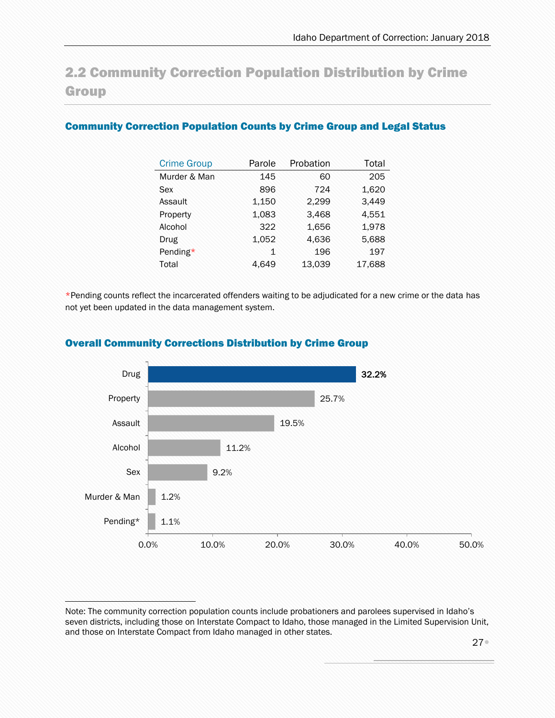## <span id="page-26-0"></span>2.2 Community Correction Population Distribution by Crime **Group**

### <span id="page-26-1"></span>Community Correction Population Counts by Crime Group and Legal Status

| <b>Crime Group</b> | Parole | Probation | Total  |
|--------------------|--------|-----------|--------|
| Murder & Man       | 145    | 60        | 205    |
| Sex                | 896    | 724       | 1,620  |
| Assault            | 1,150  | 2,299     | 3,449  |
| Property           | 1,083  | 3,468     | 4,551  |
| Alcohol            | 322    | 1,656     | 1,978  |
| Drug               | 1,052  | 4,636     | 5,688  |
| Pending*           | 1      | 196       | 197    |
| Total              | 4.649  | 13,039    | 17,688 |

\*Pending counts reflect the incarcerated offenders waiting to be adjudicated for a new crime or the data has not yet been updated in the data management system.



### <span id="page-26-2"></span>Overall Community Corrections Distribution by Crime Group

Note: The community correction population counts include probationers and parolees supervised in Idaho's seven districts, including those on Interstate Compact to Idaho, those managed in the Limited Supervision Unit, and those on Interstate Compact from Idaho managed in other states.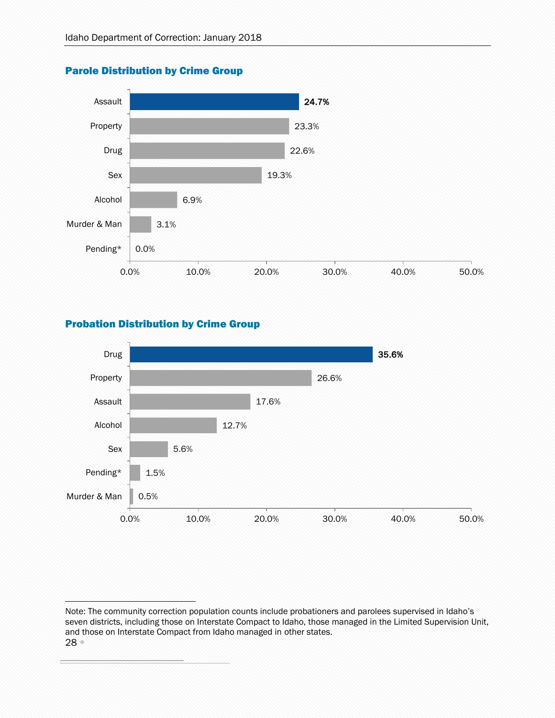

### <span id="page-27-0"></span>Parole Distribution by Crime Group

### <span id="page-27-1"></span>Probation Distribution by Crime Group



<sup>28</sup> Note: The community correction population counts include probationers and parolees supervised in Idaho's seven districts, including those on Interstate Compact to Idaho, those managed in the Limited Supervision Unit, and those on Interstate Compact from Idaho managed in other states.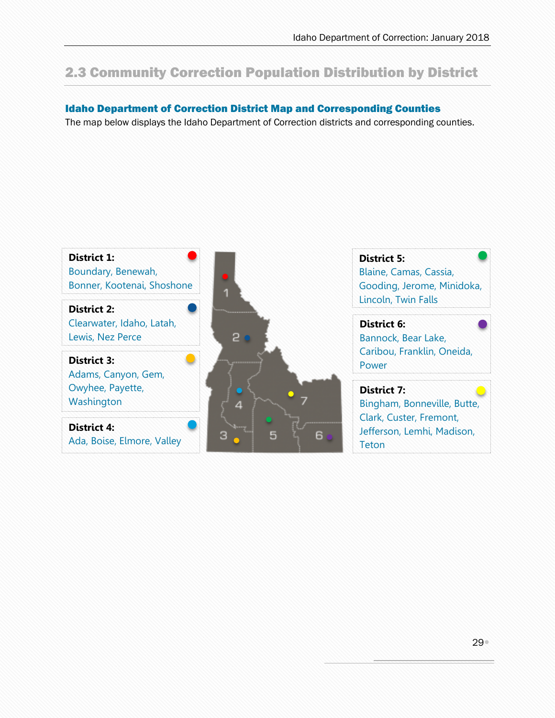## <span id="page-28-0"></span>2.3 Community Correction Population Distribution by District

### <span id="page-28-1"></span>Idaho Department of Correction District Map and Corresponding Counties

The map below displays the Idaho Department of Correction districts and corresponding counties.

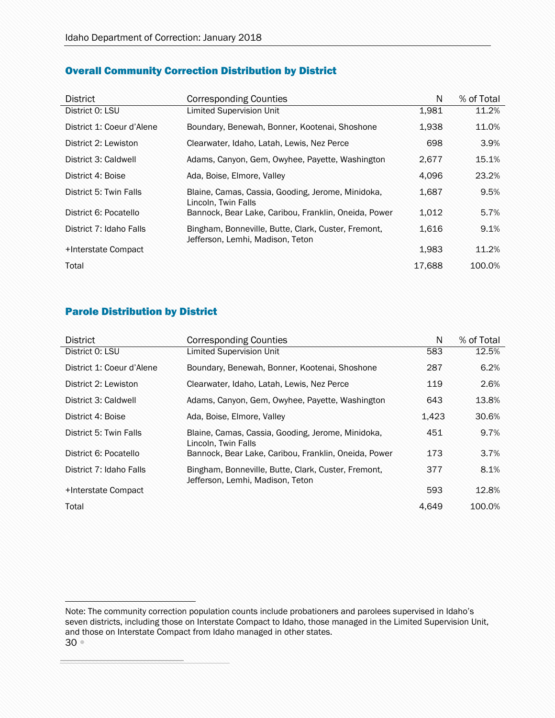### <span id="page-29-0"></span>Overall Community Correction Distribution by District

| <b>District</b>           | <b>Corresponding Counties</b>                                                           | N      | % of Total |
|---------------------------|-----------------------------------------------------------------------------------------|--------|------------|
| District 0: LSU           | <b>Limited Supervision Unit</b>                                                         | 1,981  | 11.2%      |
| District 1: Coeur d'Alene | Boundary, Benewah, Bonner, Kootenai, Shoshone                                           | 1,938  | 11.0%      |
| District 2: Lewiston      | Clearwater, Idaho, Latah, Lewis, Nez Perce                                              | 698    | 3.9%       |
| District 3: Caldwell      | Adams, Canyon, Gem, Owyhee, Payette, Washington                                         | 2,677  | 15.1%      |
| District 4: Boise         | Ada, Boise, Elmore, Valley                                                              | 4,096  | 23.2%      |
| District 5: Twin Falls    | Blaine, Camas, Cassia, Gooding, Jerome, Minidoka,<br>Lincoln, Twin Falls                | 1,687  | 9.5%       |
| District 6: Pocatello     | Bannock, Bear Lake, Caribou, Franklin, Oneida, Power                                    | 1,012  | 5.7%       |
| District 7: Idaho Falls   | Bingham, Bonneville, Butte, Clark, Custer, Fremont,<br>Jefferson, Lemhi, Madison, Teton | 1,616  | 9.1%       |
| +Interstate Compact       |                                                                                         | 1,983  | 11.2%      |
| Total                     |                                                                                         | 17.688 | 100.0%     |

### <span id="page-29-1"></span>Parole Distribution by District

| <b>District</b>           | <b>Corresponding Counties</b>                                                           | N     | % of Total |
|---------------------------|-----------------------------------------------------------------------------------------|-------|------------|
| District 0: LSU           | <b>Limited Supervision Unit</b>                                                         | 583   | 12.5%      |
| District 1: Coeur d'Alene | Boundary, Benewah, Bonner, Kootenai, Shoshone                                           | 287   | 6.2%       |
| District 2: Lewiston      | Clearwater, Idaho, Latah, Lewis, Nez Perce                                              | 119   | 2.6%       |
| District 3: Caldwell      | Adams, Canyon, Gem, Owyhee, Payette, Washington                                         | 643   | 13.8%      |
| District 4: Boise         | Ada, Boise, Elmore, Valley                                                              | 1,423 | 30.6%      |
| District 5: Twin Falls    | Blaine, Camas, Cassia, Gooding, Jerome, Minidoka,<br>Lincoln, Twin Falls                | 451   | 9.7%       |
| District 6: Pocatello     | Bannock, Bear Lake, Caribou, Franklin, Oneida, Power                                    | 173   | 3.7%       |
| District 7: Idaho Falls   | Bingham, Bonneville, Butte, Clark, Custer, Fremont,<br>Jefferson, Lemhi, Madison, Teton | 377   | 8.1%       |
| +Interstate Compact       |                                                                                         | 593   | 12.8%      |
| Total                     |                                                                                         | 4,649 | 100.0%     |

30 Note: The community correction population counts include probationers and parolees supervised in Idaho's seven districts, including those on Interstate Compact to Idaho, those managed in the Limited Supervision Unit, and those on Interstate Compact from Idaho managed in other states.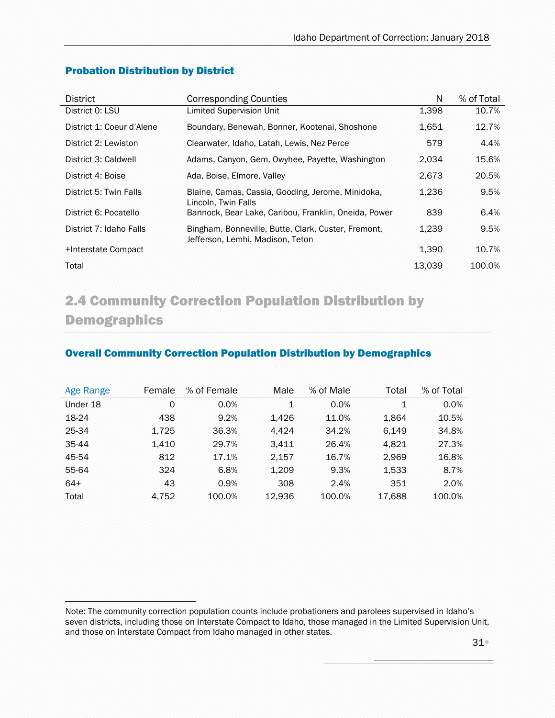| <b>District</b>           | <b>Corresponding Counties</b>                                                           | N      | % of Total |
|---------------------------|-----------------------------------------------------------------------------------------|--------|------------|
| District 0: LSU           | Limited Supervision Unit                                                                | 1,398  | 10.7%      |
| District 1: Coeur d'Alene | Boundary, Benewah, Bonner, Kootenai, Shoshone                                           | 1,651  | 12.7%      |
| District 2: Lewiston      | Clearwater, Idaho, Latah, Lewis, Nez Perce                                              | 579    | 4.4%       |
| District 3: Caldwell      | Adams, Canyon, Gem, Owyhee, Payette, Washington                                         | 2,034  | 15.6%      |
| District 4: Boise         | Ada, Boise, Elmore, Valley                                                              | 2,673  | 20.5%      |
| District 5: Twin Falls    | Blaine, Camas, Cassia, Gooding, Jerome, Minidoka,<br>Lincoln, Twin Falls                | 1,236  | 9.5%       |
| District 6: Pocatello     | Bannock, Bear Lake, Caribou, Franklin, Oneida, Power                                    | 839    | 6.4%       |
| District 7: Idaho Falls   | Bingham, Bonneville, Butte, Clark, Custer, Fremont,<br>Jefferson, Lemhi, Madison, Teton | 1,239  | 9.5%       |
| +Interstate Compact       |                                                                                         | 1,390  | 10.7%      |
| Total                     |                                                                                         | 13.039 | 100.0%     |

### <span id="page-30-0"></span>Probation Distribution by District

## <span id="page-30-1"></span>2.4 Community Correction Population Distribution by Demographics

### <span id="page-30-2"></span>Overall Community Correction Population Distribution by Demographics

| <b>Age Range</b> | Female | % of Female | Male   | % of Male | Total  | % of Total |
|------------------|--------|-------------|--------|-----------|--------|------------|
| Under 18         | 0      | 0.0%        | 1      | 0.0%      | 1      | 0.0%       |
| 18-24            | 438    | 9.2%        | 1.426  | 11.0%     | 1.864  | 10.5%      |
| 25-34            | 1,725  | 36.3%       | 4.424  | 34.2%     | 6.149  | 34.8%      |
| 35-44            | 1,410  | 29.7%       | 3,411  | 26.4%     | 4.821  | 27.3%      |
| 45-54            | 812    | 17.1%       | 2,157  | 16.7%     | 2,969  | 16.8%      |
| 55-64            | 324    | 6.8%        | 1.209  | 9.3%      | 1,533  | 8.7%       |
| $64+$            | 43     | 0.9%        | 308    | 2.4%      | 351    | 2.0%       |
| Total            | 4.752  | 100.0%      | 12.936 | 100.0%    | 17.688 | 100.0%     |

ì Note: The community correction population counts include probationers and parolees supervised in Idaho's seven districts, including those on Interstate Compact to Idaho, those managed in the Limited Supervision Unit, and those on Interstate Compact from Idaho managed in other states.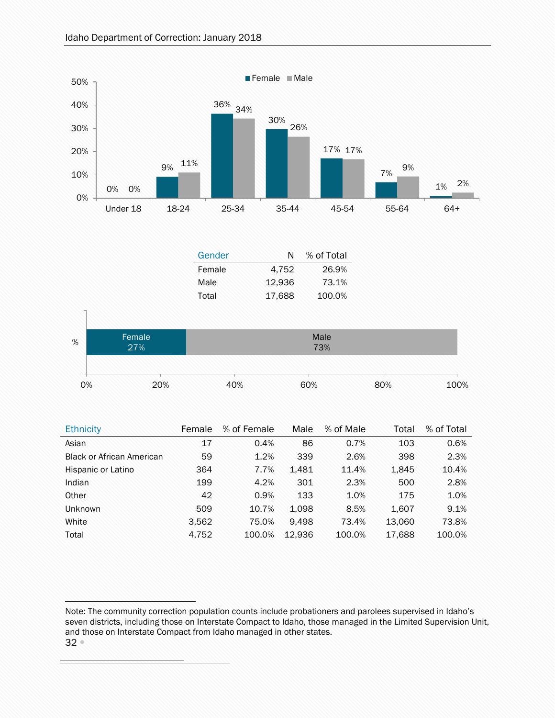

| <b>Ethnicity</b>                 | Female | % of Female | Male   | % of Male | Total  | % of Total |
|----------------------------------|--------|-------------|--------|-----------|--------|------------|
| Asian                            | 17     | 0.4%        | 86     | 0.7%      | 103    | 0.6%       |
| <b>Black or African American</b> | 59     | 1.2%        | 339    | 2.6%      | 398    | 2.3%       |
| Hispanic or Latino               | 364    | 7.7%        | 1.481  | 11.4%     | 1,845  | 10.4%      |
| Indian                           | 199    | 4.2%        | 301    | 2.3%      | 500    | 2.8%       |
| Other                            | 42     | 0.9%        | 133    | 1.0%      | 175    | 1.0%       |
| <b>Unknown</b>                   | 509    | 10.7%       | 1,098  | 8.5%      | 1,607  | 9.1%       |
| White                            | 3,562  | 75.0%       | 9.498  | 73.4%     | 13.060 | 73.8%      |
| Total                            | 4,752  | 100.0%      | 12.936 | 100.0%    | 17,688 | 100.0%     |

<sup>32</sup> Note: The community correction population counts include probationers and parolees supervised in Idaho's seven districts, including those on Interstate Compact to Idaho, those managed in the Limited Supervision Unit, and those on Interstate Compact from Idaho managed in other states.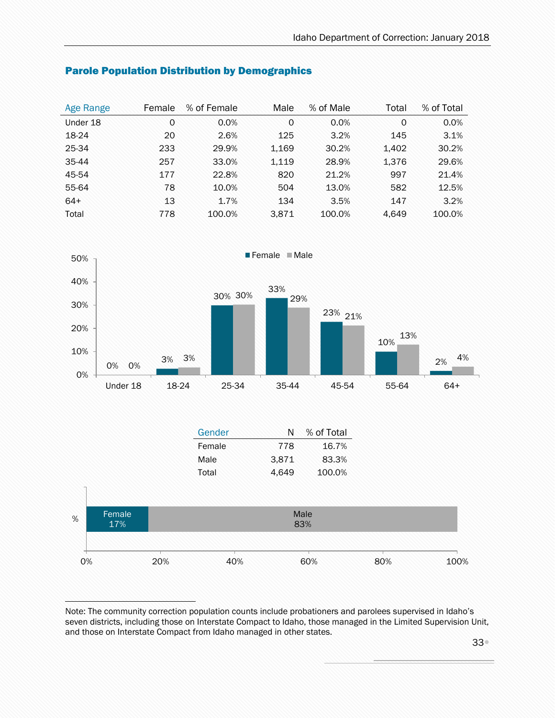| <b>Age Range</b> | Female | % of Female | Male  | % of Male | Total    | % of Total |
|------------------|--------|-------------|-------|-----------|----------|------------|
| Under 18         | 0      | 0.0%        | 0     | 0.0%      | $\Omega$ | 0.0%       |
| 18-24            | 20     | 2.6%        | 125   | 3.2%      | 145      | 3.1%       |
| 25-34            | 233    | 29.9%       | 1,169 | 30.2%     | 1,402    | 30.2%      |
| 35-44            | 257    | 33.0%       | 1,119 | 28.9%     | 1,376    | 29.6%      |
| 45-54            | 177    | 22.8%       | 820   | 21.2%     | 997      | 21.4%      |
| 55-64            | 78     | 10.0%       | 504   | 13.0%     | 582      | 12.5%      |
| $64+$            | 13     | 1.7%        | 134   | 3.5%      | 147      | 3.2%       |
| Total            | 778    | 100.0%      | 3,871 | 100.0%    | 4.649    | 100.0%     |

### <span id="page-32-0"></span>Parole Population Distribution by Demographics



|    |               |     | Gender | N     | % of Total  |     |      |
|----|---------------|-----|--------|-------|-------------|-----|------|
|    |               |     | Female | 778   | 16.7%       |     |      |
|    |               |     | Male   | 3,871 | 83.3%       |     |      |
|    |               |     | Total  | 4,649 | 100.0%      |     |      |
|    |               |     |        |       |             |     |      |
| %  | Female<br>17% |     |        |       | Male<br>83% |     |      |
|    |               |     |        |       |             |     |      |
| 0% |               | 20% | 40%    |       | 60%         | 80% | 100% |

Note: The community correction population counts include probationers and parolees supervised in Idaho's seven districts, including those on Interstate Compact to Idaho, those managed in the Limited Supervision Unit, and those on Interstate Compact from Idaho managed in other states.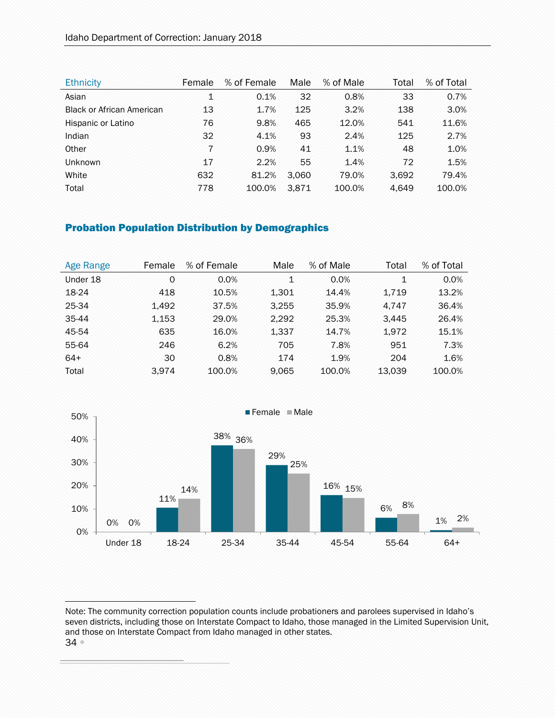| <b>Ethnicity</b>                 | Female         | % of Female | Male  | % of Male | Total | % of Total |
|----------------------------------|----------------|-------------|-------|-----------|-------|------------|
| Asian                            | $\mathbf{1}$   | 0.1%        | 32    | 0.8%      | 33    | 0.7%       |
| <b>Black or African American</b> | 13             | 1.7%        | 125   | 3.2%      | 138   | 3.0%       |
| Hispanic or Latino               | 76             | 9.8%        | 465   | 12.0%     | 541   | 11.6%      |
| Indian                           | 32             | 4.1%        | 93    | 2.4%      | 125   | 2.7%       |
| Other                            | $\overline{7}$ | 0.9%        | 41    | 1.1%      | 48    | 1.0%       |
| Unknown                          | 17             | 2.2%        | 55    | 1.4%      | 72    | 1.5%       |
| White                            | 632            | 81.2%       | 3.060 | 79.0%     | 3,692 | 79.4%      |
| Total                            | 778            | 100.0%      | 3.871 | 100.0%    | 4.649 | 100.0%     |

### <span id="page-33-0"></span>Probation Population Distribution by Demographics

| Age Range | Female | % of Female | Male  | % of Male | Total  | % of Total |
|-----------|--------|-------------|-------|-----------|--------|------------|
| Under 18  | 0      | $0.0\%$     | 1     | 0.0%      | 1      | 0.0%       |
| 18-24     | 418    | 10.5%       | 1,301 | 14.4%     | 1.719  | 13.2%      |
| 25-34     | 1.492  | 37.5%       | 3,255 | 35.9%     | 4.747  | 36.4%      |
| 35-44     | 1,153  | 29.0%       | 2,292 | 25.3%     | 3.445  | 26.4%      |
| 45-54     | 635    | 16.0%       | 1,337 | 14.7%     | 1,972  | 15.1%      |
| 55-64     | 246    | 6.2%        | 705   | 7.8%      | 951    | 7.3%       |
| $64+$     | 30     | 0.8%        | 174   | 1.9%      | 204    | 1.6%       |
| Total     | 3.974  | 100.0%      | 9.065 | 100.0%    | 13.039 | 100.0%     |



<sup>34</sup> Note: The community correction population counts include probationers and parolees supervised in Idaho's seven districts, including those on Interstate Compact to Idaho, those managed in the Limited Supervision Unit, and those on Interstate Compact from Idaho managed in other states.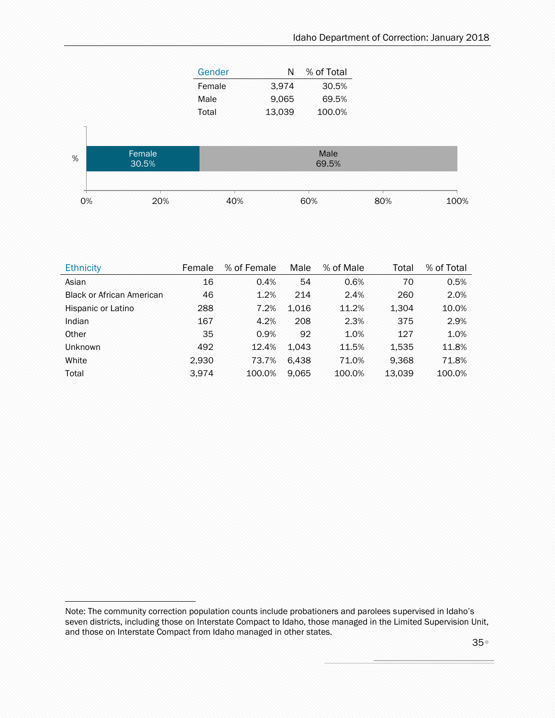| Gender | N      | % of Total |  |  |
|--------|--------|------------|--|--|
| Female | 3.974  | 30.5%      |  |  |
| Male   | 9,065  | 69.5%      |  |  |
| Total  | 13,039 | 100.0%     |  |  |



| <b>Ethnicity</b>                 | Female | % of Female | Male  | % of Male | Total  | % of Total |
|----------------------------------|--------|-------------|-------|-----------|--------|------------|
| Asian                            | 16     | 0.4%        | 54    | 0.6%      | 70     | 0.5%       |
| <b>Black or African American</b> | 46     | 1.2%        | 214   | 2.4%      | 260    | 2.0%       |
| Hispanic or Latino               | 288    | 7.2%        | 1.016 | 11.2%     | 1,304  | 10.0%      |
| Indian                           | 167    | 4.2%        | 208   | 2.3%      | 375    | 2.9%       |
| Other                            | 35     | 0.9%        | 92    | 1.0%      | 127    | 1.0%       |
| <b>Unknown</b>                   | 492    | 12.4%       | 1.043 | 11.5%     | 1,535  | 11.8%      |
| White                            | 2,930  | 73.7%       | 6.438 | 71.0%     | 9,368  | 71.8%      |
| Total                            | 3.974  | 100.0%      | 9.065 | 100.0%    | 13,039 | 100.0%     |

Note: The community correction population counts include probationers and parolees supervised in Idaho's seven districts, including those on Interstate Compact to Idaho, those managed in the Limited Supervision Unit, and those on Interstate Compact from Idaho managed in other states.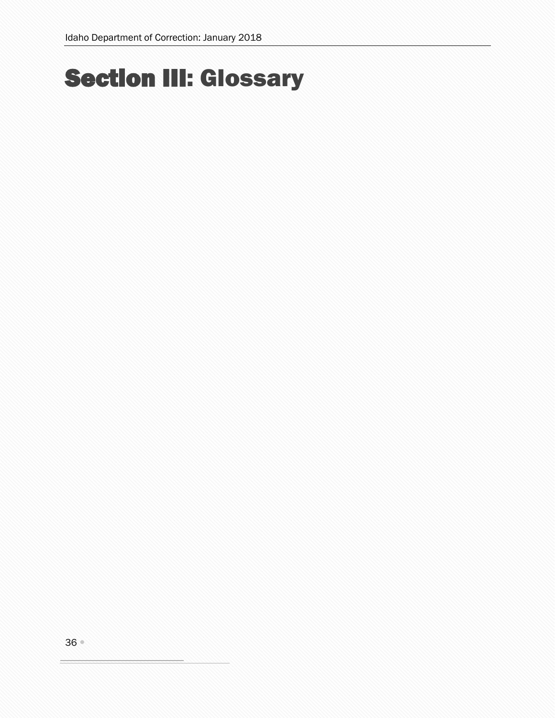# <span id="page-35-0"></span>Section III: Glossary